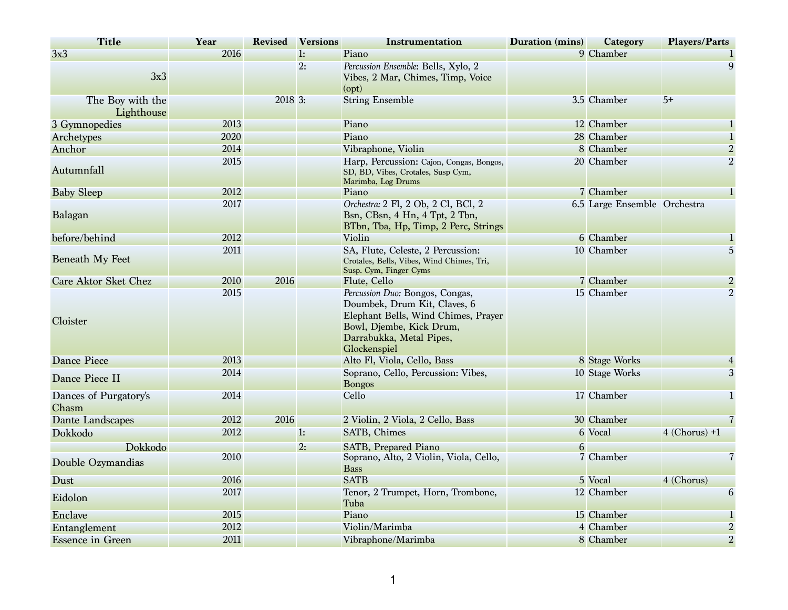| <b>Title</b>                   | Year | <b>Revised</b> | <b>Versions</b> | <b>Instrumentation</b>                                                                                                                                                         | <b>Duration (mins)</b> | <b>Category</b>              | <b>Players/Parts</b> |
|--------------------------------|------|----------------|-----------------|--------------------------------------------------------------------------------------------------------------------------------------------------------------------------------|------------------------|------------------------------|----------------------|
| 3x3                            | 2016 |                | 1:              | Piano                                                                                                                                                                          |                        | 9 Chamber                    |                      |
| 3x3                            |      |                | 2:              | Percussion Ensemble: Bells, Xylo, 2<br>Vibes, 2 Mar, Chimes, Timp, Voice<br>(opt)                                                                                              |                        |                              | 9                    |
| The Boy with the<br>Lighthouse |      | 2018 3:        |                 | <b>String Ensemble</b>                                                                                                                                                         |                        | 3.5 Chamber                  | $5+$                 |
| 3 Gymnopedies                  | 2013 |                |                 | Piano                                                                                                                                                                          |                        | 12 Chamber                   | $\mathbf{1}$         |
| Archetypes                     | 2020 |                |                 | Piano                                                                                                                                                                          |                        | 28 Chamber                   | $\mathbf{1}$         |
| Anchor                         | 2014 |                |                 | Vibraphone, Violin                                                                                                                                                             |                        | 8 Chamber                    | $\overline{2}$       |
| Autumnfall                     | 2015 |                |                 | Harp, Percussion: Cajon, Congas, Bongos,<br>SD, BD, Vibes, Crotales, Susp Cym,<br>Marimba, Log Drums                                                                           |                        | 20 Chamber                   | $\overline{2}$       |
| <b>Baby Sleep</b>              | 2012 |                |                 | Piano                                                                                                                                                                          |                        | 7 Chamber                    | $\mathbf{1}$         |
| Balagan                        | 2017 |                |                 | Orchestra: 2 Fl, 2 Ob, 2 Cl, BCl, 2<br>Bsn, CBsn, 4 Hn, 4 Tpt, 2 Tbn,<br>BTbn, Tba, Hp, Timp, 2 Perc, Strings                                                                  |                        | 6.5 Large Ensemble Orchestra |                      |
| before/behind                  | 2012 |                |                 | Violin                                                                                                                                                                         |                        | 6 Chamber                    | $\mathbf{1}$         |
| <b>Beneath My Feet</b>         | 2011 |                |                 | SA, Flute, Celeste, 2 Percussion:<br>Crotales, Bells, Vibes, Wind Chimes, Tri,<br>Susp. Cym, Finger Cyms                                                                       |                        | 10 Chamber                   | 5                    |
| <b>Care Aktor Sket Chez</b>    | 2010 | 2016           |                 | Flute, Cello                                                                                                                                                                   |                        | 7 Chamber                    | $\overline{2}$       |
| Cloister                       | 2015 |                |                 | Percussion Duo: Bongos, Congas,<br>Doumbek, Drum Kit, Claves, 6<br>Elephant Bells, Wind Chimes, Prayer<br>Bowl, Djembe, Kick Drum,<br>Darrabukka, Metal Pipes,<br>Glockenspiel |                        | 15 Chamber                   | $\overline{2}$       |
| <b>Dance Piece</b>             | 2013 |                |                 | Alto Fl, Viola, Cello, Bass                                                                                                                                                    |                        | 8 Stage Works                | $\overline{4}$       |
| Dance Piece II                 | 2014 |                |                 | Soprano, Cello, Percussion: Vibes,<br><b>Bongos</b>                                                                                                                            |                        | 10 Stage Works               | 3                    |
| Dances of Purgatory's<br>Chasm | 2014 |                |                 | Cello                                                                                                                                                                          |                        | 17 Chamber                   | $\mathbf{1}$         |
| Dante Landscapes               | 2012 | 2016           |                 | 2 Violin, 2 Viola, 2 Cello, Bass                                                                                                                                               |                        | 30 Chamber                   | $\overline{7}$       |
| Dokkodo                        | 2012 |                | 1:              | SATB, Chimes                                                                                                                                                                   |                        | 6 Vocal                      | $4$ (Chorus) $+1$    |
| Dokkodo                        |      |                | 2:              | <b>SATB, Prepared Piano</b>                                                                                                                                                    | 6                      |                              |                      |
| Double Ozymandias              | 2010 |                |                 | Soprano, Alto, 2 Violin, Viola, Cello,<br><b>Bass</b>                                                                                                                          |                        | 7 Chamber                    | $\overline{7}$       |
| Dust                           | 2016 |                |                 | <b>SATB</b>                                                                                                                                                                    |                        | 5 Vocal                      | 4 (Chorus)           |
| Eidolon                        | 2017 |                |                 | Tenor, 2 Trumpet, Horn, Trombone,<br>Tuba                                                                                                                                      |                        | 12 Chamber                   | 6                    |
| Enclave                        | 2015 |                |                 | Piano                                                                                                                                                                          |                        | 15 Chamber                   |                      |
| Entanglement                   | 2012 |                |                 | Violin/Marimba                                                                                                                                                                 |                        | 4 Chamber                    | $\overline{2}$       |
| <b>Essence in Green</b>        | 2011 |                |                 | Vibraphone/Marimba                                                                                                                                                             |                        | 8 Chamber                    | $\overline{2}$       |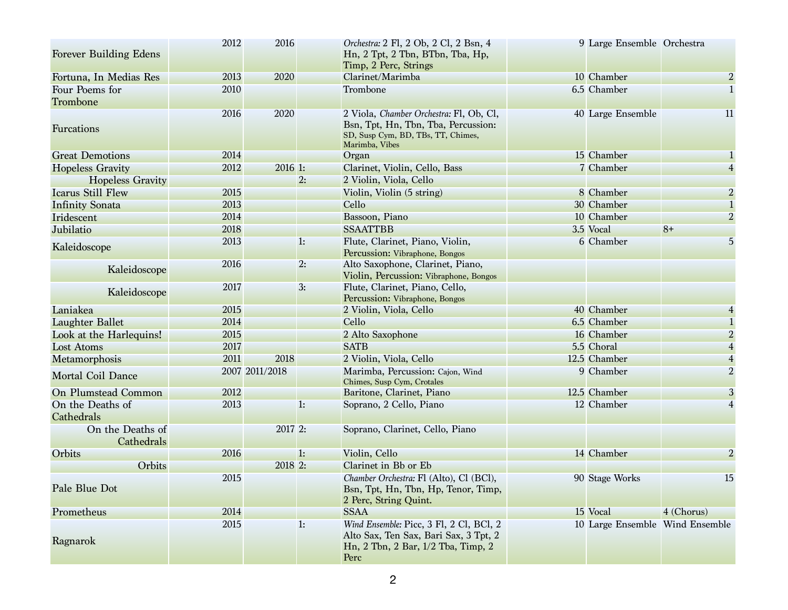| <b>Forever Building Edens</b>  | 2012 | 2016           |    | Orchestra: 2 Fl, 2 Ob, 2 Cl, 2 Bsn, 4<br>Hn, 2 Tpt, 2 Tbn, BTbn, Tba, Hp,<br>Timp, 2 Perc, Strings                                     | 9 Large Ensemble Orchestra      |                |
|--------------------------------|------|----------------|----|----------------------------------------------------------------------------------------------------------------------------------------|---------------------------------|----------------|
| Fortuna, In Medias Res         | 2013 | 2020           |    | Clarinet/Marimba                                                                                                                       | 10 Chamber                      | $\overline{2}$ |
| Four Poems for                 | 2010 |                |    | Trombone                                                                                                                               | 6.5 Chamber                     |                |
| Trombone                       |      |                |    |                                                                                                                                        |                                 |                |
| Furcations                     | 2016 | 2020           |    | 2 Viola, Chamber Orchestra: Fl, Ob, Cl,<br>Bsn, Tpt, Hn, Tbn, Tba, Percussion:<br>SD, Susp Cym, BD, TBs, TT, Chimes,<br>Marimba, Vibes | 40 Large Ensemble               | 11             |
| <b>Great Demotions</b>         | 2014 |                |    | Organ                                                                                                                                  | 15 Chamber                      |                |
| <b>Hopeless Gravity</b>        | 2012 | 2016 1:        |    | Clarinet, Violin, Cello, Bass                                                                                                          | 7 Chamber                       |                |
| <b>Hopeless Gravity</b>        |      |                | 2: | 2 Violin, Viola, Cello                                                                                                                 |                                 |                |
| <b>Icarus Still Flew</b>       | 2015 |                |    | Violin, Violin (5 string)                                                                                                              | 8 Chamber                       | $\overline{2}$ |
| <b>Infinity Sonata</b>         | 2013 |                |    | Cello                                                                                                                                  | 30 Chamber                      |                |
| Iridescent                     | 2014 |                |    | Bassoon, Piano                                                                                                                         | 10 Chamber                      | $\overline{2}$ |
| Jubilatio                      | 2018 |                |    | <b>SSAATTBB</b>                                                                                                                        | 3.5 Vocal                       | $8+$           |
| Kaleidoscope                   | 2013 |                | 1: | Flute, Clarinet, Piano, Violin,<br>Percussion: Vibraphone, Bongos                                                                      | 6 Chamber                       | 5              |
| Kaleidoscope                   | 2016 |                | 2: | Alto Saxophone, Clarinet, Piano,<br>Violin, Percussion: Vibraphone, Bongos                                                             |                                 |                |
| Kaleidoscope                   | 2017 |                | 3: | Flute, Clarinet, Piano, Cello,<br>Percussion: Vibraphone, Bongos                                                                       |                                 |                |
| Laniakea                       | 2015 |                |    | 2 Violin, Viola, Cello                                                                                                                 | 40 Chamber                      |                |
| <b>Laughter Ballet</b>         | 2014 |                |    | Cello                                                                                                                                  | 6.5 Chamber                     |                |
| Look at the Harlequins!        | 2015 |                |    | 2 Alto Saxophone                                                                                                                       | 16 Chamber                      | $\overline{2}$ |
| <b>Lost Atoms</b>              | 2017 |                |    | <b>SATB</b>                                                                                                                            | 5.5 Choral                      |                |
| Metamorphosis                  | 2011 | 2018           |    | 2 Violin, Viola, Cello                                                                                                                 | 12.5 Chamber                    | $\overline{4}$ |
| <b>Mortal Coil Dance</b>       |      | 2007 2011/2018 |    | Marimba, Percussion: Cajon, Wind<br>Chimes, Susp Cym, Crotales                                                                         | 9 Chamber                       | $\overline{2}$ |
| <b>On Plumstead Common</b>     | 2012 |                |    | Baritone, Clarinet, Piano                                                                                                              | 12.5 Chamber                    | 3              |
| On the Deaths of<br>Cathedrals | 2013 |                | 1: | Soprano, 2 Cello, Piano                                                                                                                | 12 Chamber                      | 4              |
| On the Deaths of<br>Cathedrals |      | 2017 2:        |    | Soprano, Clarinet, Cello, Piano                                                                                                        |                                 |                |
| Orbits                         | 2016 |                | 1: | Violin, Cello                                                                                                                          | 14 Chamber                      | $\overline{2}$ |
| Orbits                         |      | 2018 2:        |    | Clarinet in Bb or Eb                                                                                                                   |                                 |                |
| Pale Blue Dot                  | 2015 |                |    | Chamber Orchestra: Fl (Alto), Cl (BCl),<br>Bsn, Tpt, Hn, Tbn, Hp, Tenor, Timp,<br>2 Perc, String Quint.                                | 90 Stage Works                  | 15             |
| Prometheus                     | 2014 |                |    | <b>SSAA</b>                                                                                                                            | 15 Vocal                        | 4 (Chorus)     |
| Ragnarok                       | 2015 |                | 1: | Wind Ensemble: Picc, 3 Fl, 2 Cl, BCl, 2<br>Alto Sax, Ten Sax, Bari Sax, 3 Tpt, 2<br>Hn, 2 Tbn, 2 Bar, 1/2 Tba, Timp, 2<br>Perc         | 10 Large Ensemble Wind Ensemble |                |